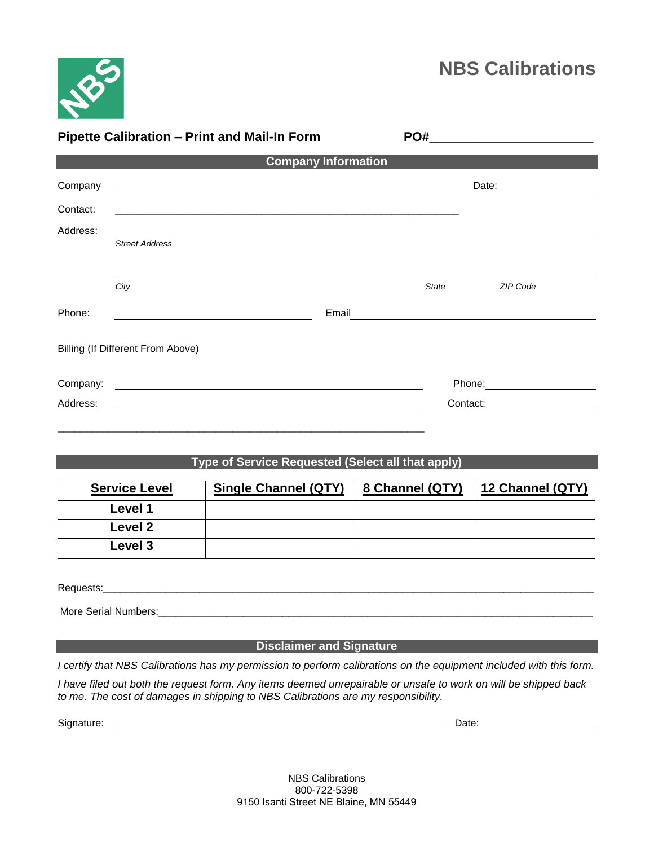

## **NBS Calibrations**

| <b>Pipette Calibration - Print and Mail-In Form</b> |                                                                                                                       |                            |       |                                |  |
|-----------------------------------------------------|-----------------------------------------------------------------------------------------------------------------------|----------------------------|-------|--------------------------------|--|
|                                                     |                                                                                                                       | <b>Company Information</b> |       |                                |  |
| Company                                             | <u> 1989 - Johann Harry Harry Harry Harry Harry Harry Harry Harry Harry Harry Harry Harry Harry Harry Harry Harry</u> |                            |       | Date: ______________           |  |
| Contact:                                            |                                                                                                                       |                            |       |                                |  |
| Address:                                            |                                                                                                                       |                            |       |                                |  |
|                                                     | <b>Street Address</b>                                                                                                 |                            |       |                                |  |
|                                                     | City                                                                                                                  |                            | State | ZIP Code                       |  |
| Phone:                                              |                                                                                                                       | Email                      |       |                                |  |
|                                                     | Billing (If Different From Above)                                                                                     |                            |       |                                |  |
|                                                     |                                                                                                                       |                            |       | Phone: <u>_______________</u>  |  |
| Address:                                            | <u> 1989 - Johann Stein, fransk politik (d. 1989)</u>                                                                 |                            |       | Contact: <u>______</u> _______ |  |

#### **Type of Service Requested (Select all that apply)**

| <b>Service Level</b> | <b>Single Channel (QTY)</b> | 8 Channel (QTY) | 12 Channel (QTY) |
|----------------------|-----------------------------|-----------------|------------------|
| Level 1              |                             |                 |                  |
| Level 2              |                             |                 |                  |
| Level 3              |                             |                 |                  |

| -- |  |  |  |
|----|--|--|--|
|    |  |  |  |

More Serial Numbers:\_\_\_\_\_\_\_\_\_\_\_\_\_\_\_\_\_\_\_\_\_\_\_\_\_\_\_\_\_\_\_\_\_\_\_\_\_\_\_\_\_\_\_\_\_\_\_\_\_\_\_\_\_\_\_\_\_\_\_\_\_\_\_\_\_\_\_\_\_\_\_\_\_\_\_\_\_

#### **Disclaimer and Signature**

*I certify that NBS Calibrations has my permission to perform calibrations on the equipment included with this form.* 

*I have filed out both the request form. Any items deemed unrepairable or unsafe to work on will be shipped back to me. The cost of damages in shipping to NBS Calibrations are my responsibility.* 

Signature: <u>Date:</u> Date: Date: Date: Date: Date: Date: Date: Date: Date: Date: Date: Date: Date: Date: Date: Date: Date: Date: Date: Date: Date: Date: Date: Date: Date: Date: Date: Date: Date: Date: Date: Date: Date: Date: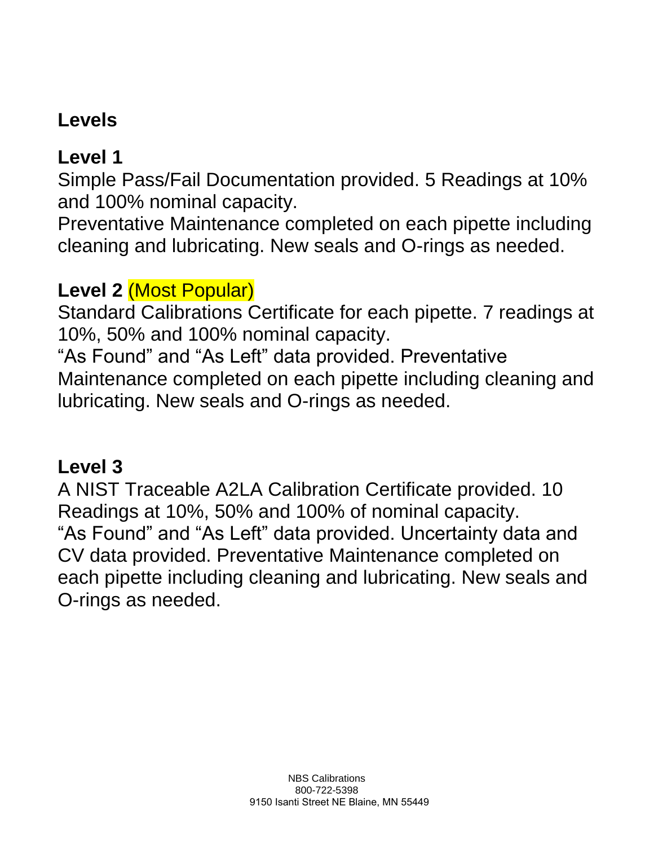# **Levels**

## **Level 1**

Simple Pass/Fail Documentation provided. 5 Readings at 10% and 100% nominal capacity.

Preventative Maintenance completed on each pipette including cleaning and lubricating. New seals and O-rings as needed.

# **Level 2** (Most Popular)

Standard Calibrations Certificate for each pipette. 7 readings at 10%, 50% and 100% nominal capacity.

"As Found" and "As Left" data provided. Preventative Maintenance completed on each pipette including cleaning and lubricating. New seals and O-rings as needed.

### **Level 3**

A NIST Traceable A2LA Calibration Certificate provided. 10 Readings at 10%, 50% and 100% of nominal capacity. "As Found" and "As Left" data provided. Uncertainty data and CV data provided. Preventative Maintenance completed on each pipette including cleaning and lubricating. New seals and O-rings as needed.